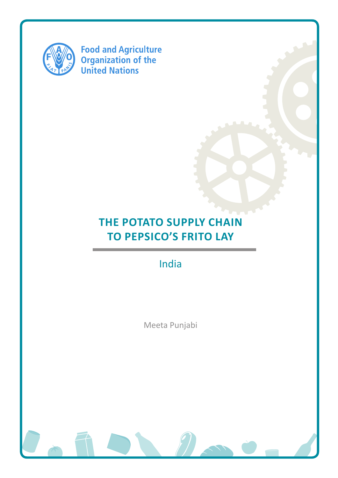

**Food and Agriculture<br>Organization of the<br>United Nations** 

# **THE POTATO SUPPLY CHAIN to PepsiCo's Frito Lay**

India

Meeta Punjabi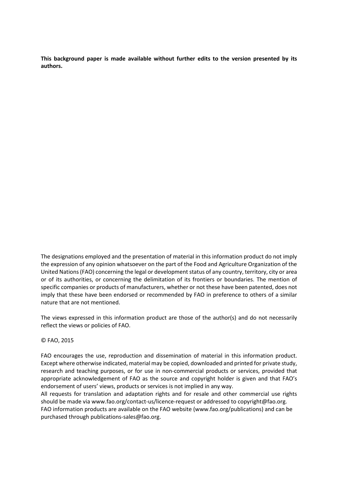**This background paper is made available without further edits to the version presented by its authors.** 

The designations employed and the presentation of material in this information product do not imply the expression of any opinion whatsoever on the part of the Food and Agriculture Organization of the United Nations (FAO) concerning the legal or development status of any country, territory, city or area or of its authorities, or concerning the delimitation of its frontiers or boundaries. The mention of specific companies or products of manufacturers, whether or not these have been patented, does not imply that these have been endorsed or recommended by FAO in preference to others of a similar nature that are not mentioned.

The views expressed in this information product are those of the author(s) and do not necessarily reflect the views or policies of FAO.

#### © FAO, 2015

FAO encourages the use, reproduction and dissemination of material in this information product. Except where otherwise indicated, material may be copied, downloaded and printed for private study, research and teaching purposes, or for use in non-commercial products or services, provided that appropriate acknowledgement of FAO as the source and copyright holder is given and that FAO's endorsement of users' views, products or services is not implied in any way.

All requests for translation and adaptation rights and for resale and other commercial use rights should be made via www.fao.org/contact-us/licence-request or addressed to copyright@fao.org. FAO information products are available on the FAO website (www.fao.org/publications) and can be purchased through publications-sales@fao.org.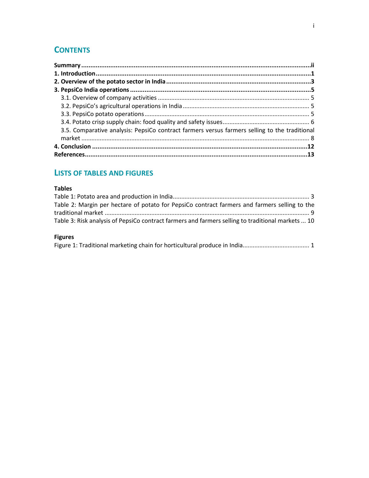# **CONTENTS**

| 3.5. Comparative analysis: PepsiCo contract farmers versus farmers selling to the traditional |  |
|-----------------------------------------------------------------------------------------------|--|
|                                                                                               |  |
|                                                                                               |  |
|                                                                                               |  |

# **LISTS OF TABLES AND FIGURES**

# **Tables**

| Table 2: Margin per hectare of potato for PepsiCo contract farmers and farmers selling to the     |  |
|---------------------------------------------------------------------------------------------------|--|
|                                                                                                   |  |
| Table 3: Risk analysis of PepsiCo contract farmers and farmers selling to traditional markets  10 |  |

# **Figures**

|--|--|--|--|--|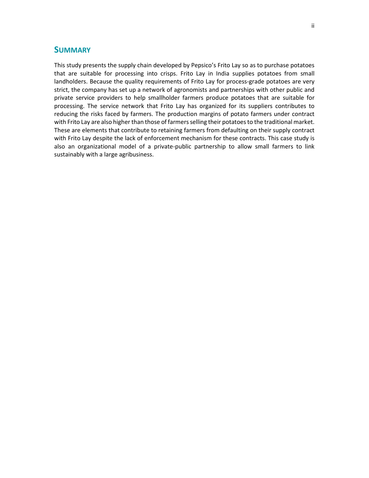# **SUMMARY**

This study presents the supply chain developed by Pepsico's Frito Lay so as to purchase potatoes that are suitable for processing into crisps. Frito Lay in India supplies potatoes from small landholders. Because the quality requirements of Frito Lay for process-grade potatoes are very strict, the company has set up a network of agronomists and partnerships with other public and private service providers to help smallholder farmers produce potatoes that are suitable for processing. The service network that Frito Lay has organized for its suppliers contributes to reducing the risks faced by farmers. The production margins of potato farmers under contract with Frito Lay are also higher than those of farmers selling their potatoes to the traditional market. These are elements that contribute to retaining farmers from defaulting on their supply contract with Frito Lay despite the lack of enforcement mechanism for these contracts. This case study is also an organizational model of a private-public partnership to allow small farmers to link sustainably with a large agribusiness.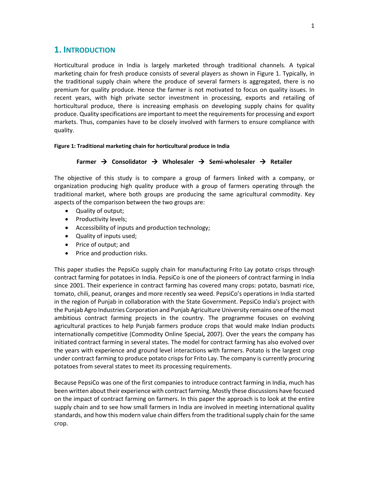# **1. INTRODUCTION**

Horticultural produce in India is largely marketed through traditional channels. A typical marketing chain for fresh produce consists of several players as shown in Figure 1. Typically, in the traditional supply chain where the produce of several farmers is aggregated, there is no premium for quality produce. Hence the farmer is not motivated to focus on quality issues. In recent years, with high private sector investment in processing, exports and retailing of horticultural produce, there is increasing emphasis on developing supply chains for quality produce. Quality specifications are important to meet the requirements for processing and export markets. Thus, companies have to be closely involved with farmers to ensure compliance with quality.

#### **Figure 1: Traditional marketing chain for horticultural produce in India**

#### **Farmer Consolidator Wholesaler Semi-wholesaler Retailer**

The objective of this study is to compare a group of farmers linked with a company, or organization producing high quality produce with a group of farmers operating through the traditional market, where both groups are producing the same agricultural commodity. Key aspects of the comparison between the two groups are:

- Quality of output;
- Productivity levels;
- Accessibility of inputs and production technology;
- Quality of inputs used;
- Price of output; and
- Price and production risks.

This paper studies the PepsiCo supply chain for manufacturing Frito Lay potato crisps through contract farming for potatoes in India. PepsiCo is one of the pioneers of contract farming in India since 2001. Their experience in contract farming has covered many crops: potato, basmati rice, tomato, chili, peanut, oranges and more recently sea weed. PepsiCo's operations in India started in the region of Punjab in collaboration with the State Government. PepsiCo India's project with the Punjab Agro Industries Corporation and Punjab Agriculture University remains one of the most ambitious contract farming projects in the country. The programme focuses on evolving agricultural practices to help Punjab farmers produce crops that would make Indian products internationally competitive (Commodity Online Special**,** 2007). Over the years the company has initiated contract farming in several states. The model for contract farming has also evolved over the years with experience and ground level interactions with farmers. Potato is the largest crop under contract farming to produce potato crisps for Frito Lay. The company is currently procuring potatoes from several states to meet its processing requirements.

Because PepsiCo was one of the first companies to introduce contract farming in India, much has been written about their experience with contract farming. Mostly these discussions have focused on the impact of contract farming on farmers. In this paper the approach is to look at the entire supply chain and to see how small farmers in India are involved in meeting international quality standards, and how this modern value chain differs from the traditional supply chain for the same crop.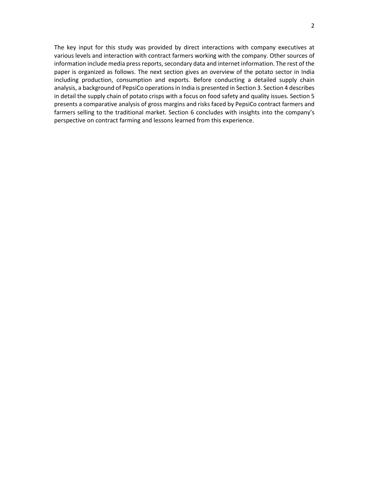The key input for this study was provided by direct interactions with company executives at various levels and interaction with contract farmers working with the company. Other sources of information include media press reports, secondary data and internet information. The rest of the paper is organized as follows. The next section gives an overview of the potato sector in India including production, consumption and exports. Before conducting a detailed supply chain analysis, a background of PepsiCo operations in India is presented in Section 3. Section 4 describes in detail the supply chain of potato crisps with a focus on food safety and quality issues. Section 5 presents a comparative analysis of gross margins and risks faced by PepsiCo contract farmers and farmers selling to the traditional market. Section 6 concludes with insights into the company's perspective on contract farming and lessons learned from this experience.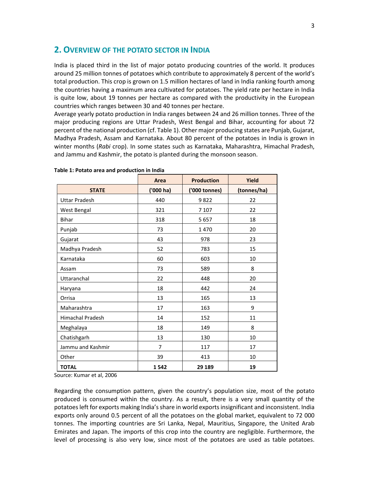# **2. OVERVIEW OF THE POTATO SECTOR IN INDIA**

India is placed third in the list of major potato producing countries of the world. It produces around 25 million tonnes of potatoes which contribute to approximately 8 percent of the world's total production. This crop is grown on 1.5 million hectares of land in India ranking fourth among the countries having a maximum area cultivated for potatoes. The yield rate per hectare in India is quite low, about 19 tonnes per hectare as compared with the productivity in the European countries which ranges between 30 and 40 tonnes per hectare.

Average yearly potato production in India ranges between 24 and 26 million tonnes. Three of the major producing regions are Uttar Pradesh, West Bengal and Bihar, accounting for about 72 percent of the national production (cf. Table 1). Other major producing states are Punjab, Gujarat, Madhya Pradesh, Assam and Karnataka. About 80 percent of the potatoes in India is grown in winter months (*Rabi* crop). In some states such as Karnataka, Maharashtra, Himachal Pradesh, and Jammu and Kashmir, the potato is planted during the monsoon season.

|                         | <b>Area</b>    | <b>Production</b> | Yield       |
|-------------------------|----------------|-------------------|-------------|
| <b>STATE</b>            | $(000)$ ha)    | ('000 tonnes)     | (tonnes/ha) |
| <b>Uttar Pradesh</b>    | 440            | 9822              | 22          |
| West Bengal             | 321            | 7 1 0 7           | 22          |
| <b>Bihar</b>            | 318            | 5657              | 18          |
| Punjab                  | 73             | 1470              | 20          |
| Gujarat                 | 43             | 978               | 23          |
| Madhya Pradesh          | 52             | 783               | 15          |
| Karnataka               | 60             | 603               | 10          |
| Assam                   | 73             | 589               | 8           |
| Uttaranchal             | 22             | 448               | 20          |
| Haryana                 | 18             | 442               | 24          |
| Orrisa                  | 13             | 165               | 13          |
| Maharashtra             | 17             | 163               | 9           |
| <b>Himachal Pradesh</b> | 14             | 152               | 11          |
| Meghalaya               | 18             | 149               | 8           |
| Chatishgarh             | 13             | 130               | 10          |
| Jammu and Kashmir       | $\overline{7}$ | 117               | 17          |
| Other                   | 39             | 413               | 10          |
| <b>TOTAL</b>            | 1542           | 29 189            | 19          |

|  |  |  |  | Table 1: Potato area and production in India |  |  |
|--|--|--|--|----------------------------------------------|--|--|
|--|--|--|--|----------------------------------------------|--|--|

Source: Kumar et al, 2006

Regarding the consumption pattern, given the country's population size, most of the potato produced is consumed within the country. As a result, there is a very small quantity of the potatoes left for exports making India's share in world exports insignificant and inconsistent. India exports only around 0.5 percent of all the potatoes on the global market, equivalent to 72 000 tonnes. The importing countries are Sri Lanka, Nepal, Mauritius, Singapore, the United Arab Emirates and Japan. The imports of this crop into the country are negligible. Furthermore, the level of processing is also very low, since most of the potatoes are used as table potatoes.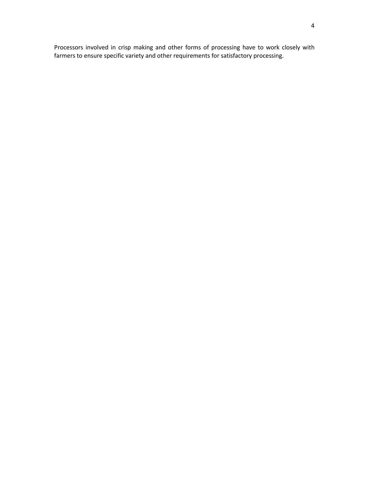Processors involved in crisp making and other forms of processing have to work closely with farmers to ensure specific variety and other requirements for satisfactory processing.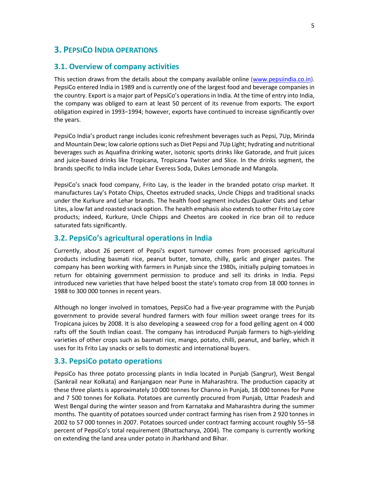# **3. PEPSICO INDIA OPERATIONS**

#### **3.1. Overview of company activities**

This section draws from the details about the company available online (www.pepsiindia.co.in). PepsiCo entered India in 1989 and is currently one of the largest food and beverage companies in the country. Export is a major part of PepsiCo's operations in India. At the time of entry into India, the company was obliged to earn at least 50 percent of its revenue from exports. The export obligation expired in 1993−1994; however, exports have continued to increase significantly over the years.

PepsiCo India's product range includes iconic refreshment beverages such as Pepsi, 7Up, Mirinda and Mountain Dew; low calorie options such as Diet Pepsi and 7Up Light; hydrating and nutritional beverages such as Aquafina drinking water, isotonic sports drinks like Gatorade, and fruit juices and juice-based drinks like Tropicana, Tropicana Twister and Slice. In the drinks segment, the brands specific to India include Lehar Everess Soda, Dukes Lemonade and Mangola.

PepsiCo's snack food company, Frito Lay, is the leader in the branded potato crisp market. It manufactures Lay's Potato Chips, Cheetos extruded snacks, Uncle Chipps and traditional snacks under the Kurkure and Lehar brands. The health food segment includes Quaker Oats and Lehar Lites, a low fat and roasted snack option. The health emphasis also extends to other Frito Lay core products; indeed, Kurkure, Uncle Chipps and Cheetos are cooked in rice bran oil to reduce saturated fats significantly.

## **3.2. PepsiCo's agricultural operations in India**

Currently, about 26 percent of Pepsi's export turnover comes from processed agricultural products including basmati rice, peanut butter, tomato, chilly, garlic and ginger pastes. The company has been working with farmers in Punjab since the 1980s, initially pulping tomatoes in return for obtaining government permission to produce and sell its drinks in India. Pepsi introduced new varieties that have helped boost the state's tomato crop from 18 000 tonnes in 1988 to 300 000 tonnes in recent years.

Although no longer involved in tomatoes, PepsiCo had a five-year programme with the Punjab government to provide several hundred farmers with four million sweet orange trees for its Tropicana juices by 2008. It is also developing a seaweed crop for a food gelling agent on 4 000 rafts off the South Indian coast. The company has introduced Punjab farmers to high-yielding varieties of other crops such as basmati rice, mango, potato, chilli, peanut, and barley, which it uses for its Frito Lay snacks or sells to domestic and international buyers.

#### **3.3. PepsiCo potato operations**

PepsiCo has three potato processing plants in India located in Punjab (Sangrur), West Bengal (Sankrail near Kolkata) and Ranjangaon near Pune in Maharashtra. The production capacity at these three plants is approximately 10 000 tonnes for Channo in Punjab, 18 000 tonnes for Pune and 7 500 tonnes for Kolkata. Potatoes are currently procured from Punjab, Uttar Pradesh and West Bengal during the winter season and from Karnataka and Maharashtra during the summer months. The quantity of potatoes sourced under contract farming has risen from 2 920 tonnes in 2002 to 57 000 tonnes in 2007. Potatoes sourced under contract farming account roughly 55−58 percent of PepsiCo's total requirement (Bhattacharya, 2004). The company is currently working on extending the land area under potato in Jharkhand and Bihar.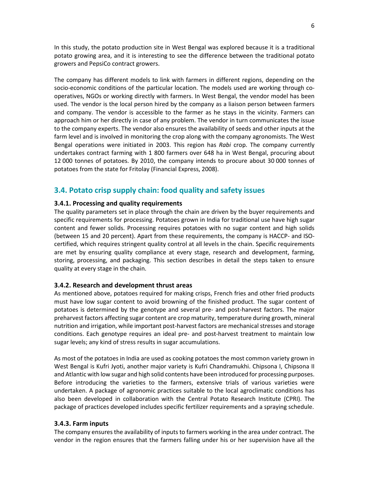In this study, the potato production site in West Bengal was explored because it is a traditional potato growing area, and it is interesting to see the difference between the traditional potato growers and PepsiCo contract growers.

The company has different models to link with farmers in different regions, depending on the socio-economic conditions of the particular location. The models used are working through cooperatives, NGOs or working directly with farmers. In West Bengal, the vendor model has been used. The vendor is the local person hired by the company as a liaison person between farmers and company. The vendor is accessible to the farmer as he stays in the vicinity. Farmers can approach him or her directly in case of any problem. The vendor in turn communicates the issue to the company experts. The vendor also ensures the availability of seeds and other inputs at the farm level and is involved in monitoring the crop along with the company agronomists. The West Bengal operations were initiated in 2003. This region has *Rabi* crop. The company currently undertakes contract farming with 1 800 farmers over 648 ha in West Bengal, procuring about 12 000 tonnes of potatoes. By 2010, the company intends to procure about 30 000 tonnes of potatoes from the state for Fritolay (Financial Express, 2008).

# **3.4. Potato crisp supply chain: food quality and safety issues**

#### **3.4.1. Processing and quality requirements**

The quality parameters set in place through the chain are driven by the buyer requirements and specific requirements for processing. Potatoes grown in India for traditional use have high sugar content and fewer solids. Processing requires potatoes with no sugar content and high solids (between 15 and 20 percent). Apart from these requirements, the company is HACCP- and ISOcertified, which requires stringent quality control at all levels in the chain. Specific requirements are met by ensuring quality compliance at every stage, research and development, farming, storing, processing, and packaging. This section describes in detail the steps taken to ensure quality at every stage in the chain.

#### **3.4.2. Research and development thrust areas**

As mentioned above, potatoes required for making crisps, French fries and other fried products must have low sugar content to avoid browning of the finished product. The sugar content of potatoes is determined by the genotype and several pre- and post-harvest factors. The major preharvest factors affecting sugar content are crop maturity, temperature during growth, mineral nutrition and irrigation, while important post-harvest factors are mechanical stresses and storage conditions. Each genotype requires an ideal pre- and post-harvest treatment to maintain low sugar levels; any kind of stress results in sugar accumulations.

As most of the potatoes in India are used as cooking potatoes the most common variety grown in West Bengal is Kufri Jyoti, another major variety is Kufri Chandramukhi. Chipsona I, Chipsona II and Atlantic with low sugar and high solid contents have been introduced for processing purposes. Before introducing the varieties to the farmers, extensive trials of various varieties were undertaken. A package of agronomic practices suitable to the local agroclimatic conditions has also been developed in collaboration with the Central Potato Research Institute (CPRI). The package of practices developed includes specific fertilizer requirements and a spraying schedule.

#### **3.4.3. Farm inputs**

The company ensures the availability of inputs to farmers working in the area under contract. The vendor in the region ensures that the farmers falling under his or her supervision have all the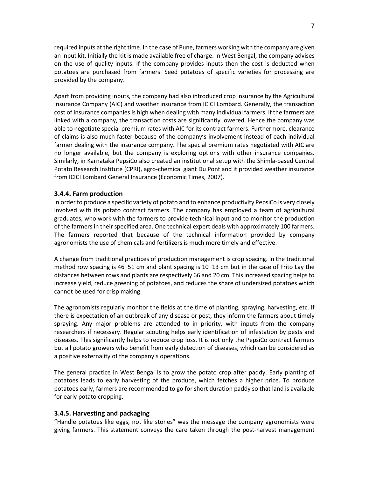required inputs at the right time. In the case of Pune, farmers working with the company are given an input kit. Initially the kit is made available free of charge. In West Bengal, the company advises on the use of quality inputs. If the company provides inputs then the cost is deducted when potatoes are purchased from farmers. Seed potatoes of specific varieties for processing are provided by the company.

Apart from providing inputs, the company had also introduced crop insurance by the Agricultural Insurance Company (AIC) and weather insurance from ICICI Lombard. Generally, the transaction cost of insurance companies is high when dealing with many individual farmers. If the farmers are linked with a company, the transaction costs are significantly lowered. Hence the company was able to negotiate special premium rates with AIC for its contract farmers. Furthermore, clearance of claims is also much faster because of the company's involvement instead of each individual farmer dealing with the insurance company. The special premium rates negotiated with AIC are no longer available, but the company is exploring options with other insurance companies. Similarly, in Karnataka PepsiCo also created an institutional setup with the Shimla-based Central Potato Research Institute (CPRI), agro-chemical giant Du Pont and it provided weather insurance from ICICI Lombard General Insurance (Economic Times, 2007).

#### **3.4.4. Farm production**

In order to produce a specific variety of potato and to enhance productivity PepsiCo is very closely involved with its potato contract farmers. The company has employed a team of agricultural graduates, who work with the farmers to provide technical input and to monitor the production of the farmers in their specified area. One technical expert deals with approximately 100 farmers. The farmers reported that because of the technical information provided by company agronomists the use of chemicals and fertilizers is much more timely and effective.

A change from traditional practices of production management is crop spacing. In the traditional method row spacing is 46−51 cm and plant spacing is 10−13 cm but in the case of Frito Lay the distances between rows and plants are respectively 66 and 20 cm. This increased spacing helps to increase yield, reduce greening of potatoes, and reduces the share of undersized potatoes which cannot be used for crisp making.

The agronomists regularly monitor the fields at the time of planting, spraying, harvesting, etc. If there is expectation of an outbreak of any disease or pest, they inform the farmers about timely spraying. Any major problems are attended to in priority, with inputs from the company researchers if necessary. Regular scouting helps early identification of infestation by pests and diseases. This significantly helps to reduce crop loss. It is not only the PepsiCo contract farmers but all potato growers who benefit from early detection of diseases, which can be considered as a positive externality of the company's operations.

The general practice in West Bengal is to grow the potato crop after paddy. Early planting of potatoes leads to early harvesting of the produce, which fetches a higher price. To produce potatoes early, farmers are recommended to go for short duration paddy so that land is available for early potato cropping.

#### **3.4.5. Harvesting and packaging**

"Handle potatoes like eggs, not like stones" was the message the company agronomists were giving farmers. This statement conveys the care taken through the post-harvest management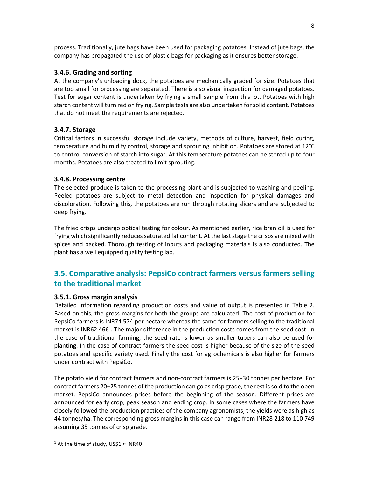process. Traditionally, jute bags have been used for packaging potatoes. Instead of jute bags, the company has propagated the use of plastic bags for packaging as it ensures better storage.

## **3.4.6. Grading and sorting**

At the company's unloading dock, the potatoes are mechanically graded for size. Potatoes that are too small for processing are separated. There is also visual inspection for damaged potatoes. Test for sugar content is undertaken by frying a small sample from this lot. Potatoes with high starch content will turn red on frying. Sample tests are also undertaken for solid content. Potatoes that do not meet the requirements are rejected.

## **3.4.7. Storage**

Critical factors in successful storage include variety, methods of culture, harvest, field curing, temperature and humidity control, storage and sprouting inhibition. Potatoes are stored at 12°C to control conversion of starch into sugar. At this temperature potatoes can be stored up to four months. Potatoes are also treated to limit sprouting.

## **3.4.8. Processing centre**

The selected produce is taken to the processing plant and is subjected to washing and peeling. Peeled potatoes are subject to metal detection and inspection for physical damages and discoloration. Following this, the potatoes are run through rotating slicers and are subjected to deep frying.

The fried crisps undergo optical testing for colour. As mentioned earlier, rice bran oil is used for frying which significantly reduces saturated fat content. At the last stage the crisps are mixed with spices and packed. Thorough testing of inputs and packaging materials is also conducted. The plant has a well equipped quality testing lab.

# **3.5. Comparative analysis: PepsiCo contract farmers versus farmers selling to the traditional market**

#### **3.5.1. Gross margin analysis**

Detailed information regarding production costs and value of output is presented in Table 2. Based on this, the gross margins for both the groups are calculated. The cost of production for PepsiCo farmers is INR74 574 per hectare whereas the same for farmers selling to the traditional market is INR62 466<sup>1</sup>. The major difference in the production costs comes from the seed cost. In the case of traditional farming, the seed rate is lower as smaller tubers can also be used for planting. In the case of contract farmers the seed cost is higher because of the size of the seed potatoes and specific variety used. Finally the cost for agrochemicals is also higher for farmers under contract with PepsiCo.

The potato yield for contract farmers and non-contract farmers is 25−30 tonnes per hectare. For contract farmers 20−25 tonnes of the production can go as crisp grade, the rest is sold to the open market. PepsiCo announces prices before the beginning of the season. Different prices are announced for early crop, peak season and ending crop. In some cases where the farmers have closely followed the production practices of the company agronomists, the yields were as high as 44 tonnes/ha. The corresponding gross margins in this case can range from INR28 218 to 110 749 assuming 35 tonnes of crisp grade.

<sup>&</sup>lt;sup>1</sup> At the time of study, US\$1 ≈ INR40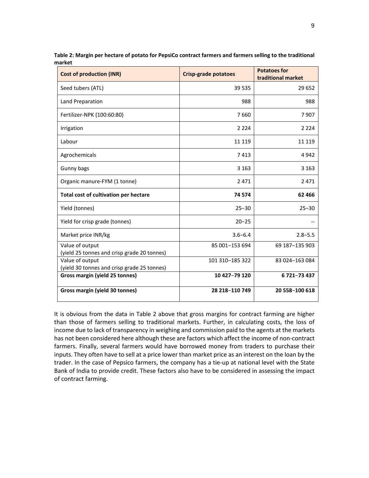| <b>Cost of production (INR)</b>                                | <b>Crisp-grade potatoes</b> | <b>Potatoes for</b><br>traditional market |
|----------------------------------------------------------------|-----------------------------|-------------------------------------------|
| Seed tubers (ATL)                                              | 39 535                      | 29 652                                    |
| Land Preparation                                               | 988                         | 988                                       |
| Fertilizer-NPK (100:60:80)                                     | 7660                        | 7907                                      |
| Irrigation                                                     | 2 2 2 4                     | 2 2 2 4                                   |
| Labour                                                         | 11 119                      | 11 1 19                                   |
| Agrochemicals                                                  | 7413                        | 4942                                      |
| Gunny bags                                                     | 3 1 6 3                     | 3 1 6 3                                   |
| Organic manure-FYM (1 tonne)                                   | 2 4 7 1                     | 2471                                      |
| Total cost of cultivation per hectare                          | 74 574                      | 62 4 66                                   |
| Yield (tonnes)                                                 | $25 - 30$                   | $25 - 30$                                 |
| Yield for crisp grade (tonnes)                                 | $20 - 25$                   |                                           |
| Market price INR/kg                                            | $3.6 - 6.4$                 | $2.8 - 5.5$                               |
| Value of output<br>(yield 25 tonnes and crisp grade 20 tonnes) | 85 001-153 694              | 69 187-135 903                            |
| Value of output<br>(yield 30 tonnes and crisp grade 25 tonnes) | 101 310-185 322             | 83 024-163 084                            |
| Gross margin (yield 25 tonnes)                                 | 10 427-79 120               | 6721-73437                                |
| Gross margin (yield 30 tonnes)                                 | 28 218-110 749              | 20 558-100 618                            |

**Table 2: Margin per hectare of potato for PepsiCo contract farmers and farmers selling to the traditional market**

It is obvious from the data in Table 2 above that gross margins for contract farming are higher than those of farmers selling to traditional markets. Further, in calculating costs, the loss of income due to lack of transparency in weighing and commission paid to the agents at the markets has not been considered here although these are factors which affect the income of non-contract farmers. Finally, several farmers would have borrowed money from traders to purchase their inputs. They often have to sell at a price lower than market price as an interest on the loan by the trader. In the case of Pepsico farmers, the company has a tie-up at national level with the State Bank of India to provide credit. These factors also have to be considered in assessing the impact of contract farming.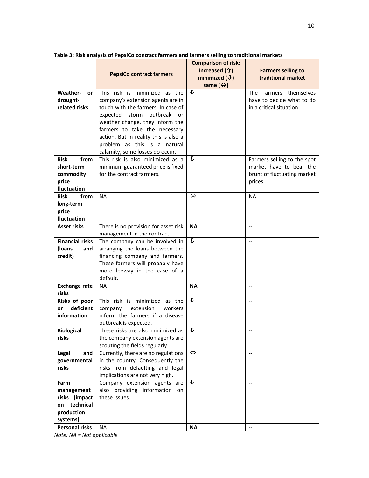|                                                    |                                                                                                                                                                                                                                                                                                                              | <b>Comparison of risk:</b>                |                                                                                |
|----------------------------------------------------|------------------------------------------------------------------------------------------------------------------------------------------------------------------------------------------------------------------------------------------------------------------------------------------------------------------------------|-------------------------------------------|--------------------------------------------------------------------------------|
|                                                    | <b>PepsiCo contract farmers</b>                                                                                                                                                                                                                                                                                              | increased (f)<br>minimized $(\sqrt[4]{})$ | <b>Farmers selling to</b><br>traditional market                                |
|                                                    |                                                                                                                                                                                                                                                                                                                              | same $(\Leftrightarrow)$                  |                                                                                |
| <b>Weather-</b><br>or<br>drought-<br>related risks | This risk is minimized as the<br>company's extension agents are in<br>touch with the farmers. In case of<br>expected storm<br>outbreak<br>or<br>weather change, they inform the<br>farmers to take the necessary<br>action. But in reality this is also a<br>problem as this is a natural<br>calamity, some losses do occur. | ⇩                                         | The farmers themselves<br>have to decide what to do<br>in a critical situation |
| from<br><b>Risk</b>                                | This risk is also minimized as a                                                                                                                                                                                                                                                                                             | ⇩                                         | Farmers selling to the spot                                                    |
| short-term                                         | minimum guaranteed price is fixed                                                                                                                                                                                                                                                                                            |                                           | market have to bear the                                                        |
| commodity                                          | for the contract farmers.                                                                                                                                                                                                                                                                                                    |                                           | brunt of fluctuating market                                                    |
| price                                              |                                                                                                                                                                                                                                                                                                                              |                                           | prices.                                                                        |
| fluctuation                                        |                                                                                                                                                                                                                                                                                                                              |                                           |                                                                                |
| <b>Risk</b><br>from                                | <b>NA</b>                                                                                                                                                                                                                                                                                                                    | $\Leftrightarrow$                         | NA                                                                             |
| long-term                                          |                                                                                                                                                                                                                                                                                                                              |                                           |                                                                                |
| price<br>fluctuation                               |                                                                                                                                                                                                                                                                                                                              |                                           |                                                                                |
| <b>Asset risks</b>                                 | There is no provision for asset risk                                                                                                                                                                                                                                                                                         | <b>NA</b>                                 | $\overline{\phantom{a}}$                                                       |
|                                                    | management in the contract                                                                                                                                                                                                                                                                                                   |                                           |                                                                                |
| <b>Financial risks</b>                             | The company can be involved in                                                                                                                                                                                                                                                                                               | ⇩                                         | --                                                                             |
| (loans<br>and                                      | arranging the loans between the                                                                                                                                                                                                                                                                                              |                                           |                                                                                |
| credit)                                            | financing company and farmers.                                                                                                                                                                                                                                                                                               |                                           |                                                                                |
|                                                    | These farmers will probably have                                                                                                                                                                                                                                                                                             |                                           |                                                                                |
|                                                    | more leeway in the case of a                                                                                                                                                                                                                                                                                                 |                                           |                                                                                |
|                                                    | default.                                                                                                                                                                                                                                                                                                                     |                                           |                                                                                |
| <b>Exchange rate</b><br>risks                      | <b>NA</b>                                                                                                                                                                                                                                                                                                                    | <b>NA</b>                                 | $\overline{\phantom{a}}$                                                       |
| Risks of poor                                      | This risk is minimized as the                                                                                                                                                                                                                                                                                                | $\mathbf{r}$                              | $\overline{\phantom{a}}$                                                       |
| deficient<br><b>or</b>                             | company<br>extension<br>workers                                                                                                                                                                                                                                                                                              |                                           |                                                                                |
| information                                        | inform the farmers if a disease                                                                                                                                                                                                                                                                                              |                                           |                                                                                |
|                                                    | outbreak is expected.                                                                                                                                                                                                                                                                                                        |                                           |                                                                                |
| <b>Biological</b>                                  | These risks are also minimized as $\sqrt{4}$                                                                                                                                                                                                                                                                                 |                                           | --                                                                             |
| risks                                              | the company extension agents are                                                                                                                                                                                                                                                                                             |                                           |                                                                                |
|                                                    | scouting the fields regularly                                                                                                                                                                                                                                                                                                |                                           |                                                                                |
| Legal<br>and                                       | Currently, there are no regulations                                                                                                                                                                                                                                                                                          | $\Leftrightarrow$                         | $\overline{\phantom{a}}$                                                       |
| governmental<br>risks                              | in the country. Consequently the<br>risks from defaulting and legal                                                                                                                                                                                                                                                          |                                           |                                                                                |
|                                                    | implications are not very high.                                                                                                                                                                                                                                                                                              |                                           |                                                                                |
| Farm                                               | Company extension agents are                                                                                                                                                                                                                                                                                                 | ⇩                                         | $\overline{\phantom{a}}$                                                       |
| management                                         | also providing information on                                                                                                                                                                                                                                                                                                |                                           |                                                                                |
| risks (impact                                      | these issues.                                                                                                                                                                                                                                                                                                                |                                           |                                                                                |
| technical<br>on                                    |                                                                                                                                                                                                                                                                                                                              |                                           |                                                                                |
| production                                         |                                                                                                                                                                                                                                                                                                                              |                                           |                                                                                |
| systems)                                           |                                                                                                                                                                                                                                                                                                                              |                                           |                                                                                |
| <b>Personal risks</b>                              | NA.                                                                                                                                                                                                                                                                                                                          | <b>NA</b>                                 | $\overline{\phantom{a}}$                                                       |

**Table 3: Risk analysis of PepsiCo contract farmers and farmers selling to traditional markets**

*Note: NA = Not applicable*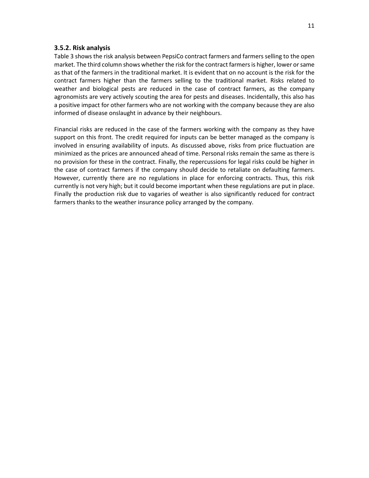#### **3.5.2. Risk analysis**

Table 3 shows the risk analysis between PepsiCo contract farmers and farmers selling to the open market. The third column shows whether the risk for the contract farmers is higher, lower or same as that of the farmers in the traditional market. It is evident that on no account is the risk for the contract farmers higher than the farmers selling to the traditional market. Risks related to weather and biological pests are reduced in the case of contract farmers, as the company agronomists are very actively scouting the area for pests and diseases. Incidentally, this also has a positive impact for other farmers who are not working with the company because they are also informed of disease onslaught in advance by their neighbours.

Financial risks are reduced in the case of the farmers working with the company as they have support on this front. The credit required for inputs can be better managed as the company is involved in ensuring availability of inputs. As discussed above, risks from price fluctuation are minimized as the prices are announced ahead of time. Personal risks remain the same as there is no provision for these in the contract. Finally, the repercussions for legal risks could be higher in the case of contract farmers if the company should decide to retaliate on defaulting farmers. However, currently there are no regulations in place for enforcing contracts. Thus, this risk currently is not very high; but it could become important when these regulations are put in place. Finally the production risk due to vagaries of weather is also significantly reduced for contract farmers thanks to the weather insurance policy arranged by the company.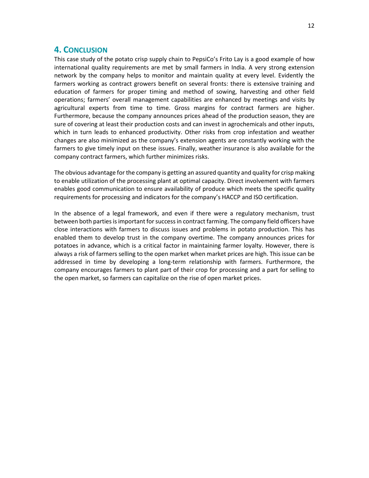# **4. CONCLUSION**

This case study of the potato crisp supply chain to PepsiCo's Frito Lay is a good example of how international quality requirements are met by small farmers in India. A very strong extension network by the company helps to monitor and maintain quality at every level. Evidently the farmers working as contract growers benefit on several fronts: there is extensive training and education of farmers for proper timing and method of sowing, harvesting and other field operations; farmers' overall management capabilities are enhanced by meetings and visits by agricultural experts from time to time. Gross margins for contract farmers are higher. Furthermore, because the company announces prices ahead of the production season, they are sure of covering at least their production costs and can invest in agrochemicals and other inputs, which in turn leads to enhanced productivity. Other risks from crop infestation and weather changes are also minimized as the company's extension agents are constantly working with the farmers to give timely input on these issues. Finally, weather insurance is also available for the company contract farmers, which further minimizes risks.

The obvious advantage for the company is getting an assured quantity and quality for crisp making to enable utilization of the processing plant at optimal capacity. Direct involvement with farmers enables good communication to ensure availability of produce which meets the specific quality requirements for processing and indicators for the company's HACCP and ISO certification.

In the absence of a legal framework, and even if there were a regulatory mechanism, trust between both parties is important for success in contract farming. The company field officers have close interactions with farmers to discuss issues and problems in potato production. This has enabled them to develop trust in the company overtime. The company announces prices for potatoes in advance, which is a critical factor in maintaining farmer loyalty. However, there is always a risk of farmers selling to the open market when market prices are high. This issue can be addressed in time by developing a long-term relationship with farmers. Furthermore, the company encourages farmers to plant part of their crop for processing and a part for selling to the open market, so farmers can capitalize on the rise of open market prices.